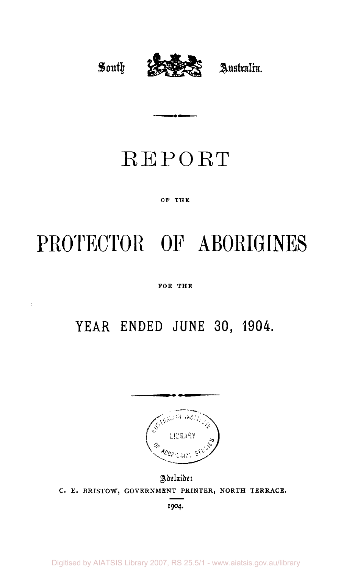

# REPORT

## OF THE

# **PROTECTOR OF ABORIGINES**

FOR THE

# **YEAR ENDED JUNE 30, 1904.**



Adelaide: C. E. BRISTOW, GOVERNMENT PRINTER, NORTH TERRACE.

1904.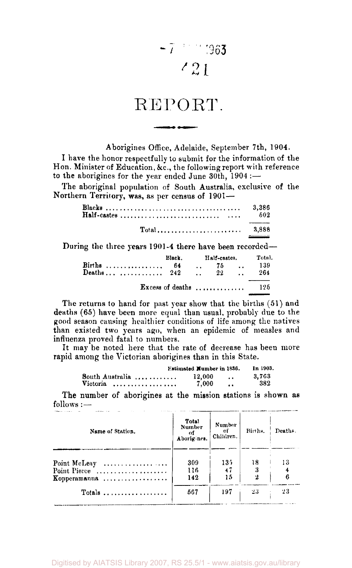$$
-7
$$

# REPORT

Aborigines Office, Adelaide, September 7th, 1904.

I have the honor respectfully to submit for the information of the Hon. Minister of Education, &c., the following report with reference to the aborigines for the year ended June 30th, 1904 :—

The aboriginal population of South Australia, exclusive of the Northern Territory, was, as per census of 1901—

|                                                         |                                       |                      | 3,386<br>b02 |
|---------------------------------------------------------|---------------------------------------|----------------------|--------------|
|                                                         |                                       |                      | 3,888        |
| During the three years 1901-4 there have been recorded— |                                       |                      |              |
|                                                         | Black.                                | Half-castes.         | Total.       |
| Births                                                  | 64                                    | $\cdot$ 75 $\cdot$   | - 139        |
| Deaths  242                                             |                                       | $\ldots$ 22 $\ldots$ | 264          |
|                                                         | Excess of deaths $\ldots$ ,,,,,,,,,,, |                      | 195          |

The returns to hand for past year show that the births (51) and deaths (65) have been more equal than usual, probably due to the good season causing healthier conditions of life among the natives than existed two years ago, when an epidemic of measles and influenza proved fatal to numbers.

It may be noted here that the rate of decrease has been more rapid among the Victorian aborigines than in this State.

|                                                    | Estimated Number in 1836. |                        | In 1903.     |
|----------------------------------------------------|---------------------------|------------------------|--------------|
| South Australia<br><b>Victoria</b><br>. <b>.</b> . | 12,000<br>7.000           | $\cdot$ .<br>$\bullet$ | 3.763<br>382 |

The number of aborigines at the mission stations is shown as follows : —

| Name of Station.                                      | Total<br><b>Number</b><br>-01<br>Aborigines. | Number<br>оf<br>Children. | Births. | Deaths. |
|-------------------------------------------------------|----------------------------------------------|---------------------------|---------|---------|
|                                                       |                                              |                           |         |         |
| Point McLeay                                          | 309                                          | 13.5                      | 18      | 13      |
| Point Pierce $\ldots, \ldots, \ldots, \ldots, \ldots$ | 116                                          | 47                        |         |         |
| Kopperamanna                                          | 142                                          | 15                        | 2       |         |
|                                                       | 567                                          | 197                       | 23      | 23      |

Digitised by AIATSIS Library 2007, RS 25.5/1 - www.aiatsis.gov.au/library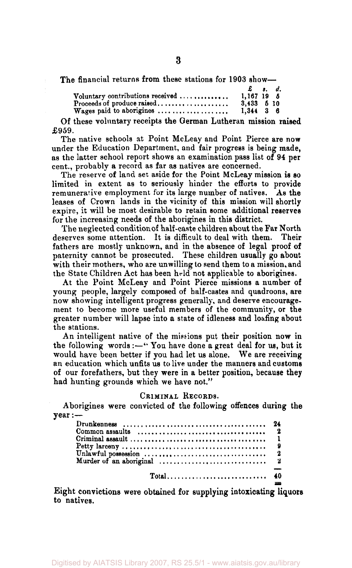The financial returns from these stations for 1903 show—

|                                  | £ s. d.        |  |  |
|----------------------------------|----------------|--|--|
| Voluntary contributions received | $1.167$ 19 $6$ |  |  |
| Proceeds of produce raised       | $3,433$ $5$ 10 |  |  |
| Wages paid to aborigines         | $1.344$ 3 6    |  |  |

Of these voluntary receipts the German Lutheran mission raised £959.

The native schools at Point McLeay and Point Pierce are now under the Education Department, and fair progress is being made, as the latter school report shows an examination pass list of 94 per cent., probably a record as far as natives are concerned.

The reserve of land set aside for the Point McLeay mission is so limited in extent as to seriously hinder the efforts to provide remunerative employment for its large number of natives. As the leases of Crown lands in the vicinity of this mission will shortly expire, it will be most desirable to retain some additional reserves for the increasing needs of the aborigines in this district.

The neglected condition of half-caste children about the Far North<br>serves some attention. It is difficult to deal with them. Their deserves some attention. It is difficult to deal with them. fathers are mostly unknown, and in the absence of legal proof of paternity cannot be prosecuted. These children usually go about with their mothers, who are unwilling to send them to a mission, and the State Children Act has been held not applicable to aborigines.

At the Point McLeay and Point Pierce missions a number of young people, largely composed of half-castes and quadroons, are now showing intelligent progress generally, and deserve encouragement to become more useful members of the community, or the greater number will lapse into a state of idleness and loafing about the stations.

An intelligent native of the missions put their position now in the following words :—" You have done a great deal for us, but it would have been better if you had let us alone. We are receiving an education which unfits us to live under the manners and customs of our forefathers, but they were in a better position, because they had hunting grounds which we have not."

#### CRIMINAL RECORDS.

Aborigines were convicted of the following offences during the year :—

| Common assaults $\ldots, \ldots, \ldots, \ldots, \ldots, \ldots, \ldots, \ldots, \ldots, \ldots$ |  |
|--------------------------------------------------------------------------------------------------|--|
|                                                                                                  |  |
|                                                                                                  |  |
|                                                                                                  |  |
|                                                                                                  |  |
|                                                                                                  |  |

Eight convictions were obtained for supplying intoxicating liquors to natives.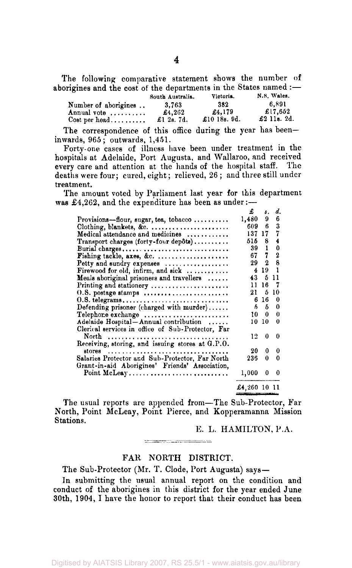The following comparative statement shows the number of aborigines and the cost of the departments in the States named :—

|                        | South Australia. | Victoria.       | N.S. Wales. |
|------------------------|------------------|-----------------|-------------|
| Number of aborigines   | 3.763            | 382             | 6.891       |
| Annual vote            | £4.262           | £4.179          | £17.652     |
| $Cost per head \ldots$ | £1 2s. 7d.       | £10 18s. $9d$ . | £2 11s. 2d. |

The correspondence of this office during the year has been inwards, 965; outwards, 1,451.

Forty-one cases of illness have been under treatment in the hospitals at Adelaide, Port Augusta, and Wallaroo, and received every care and attention at the hands of the hospital staff. The deaths were four; cured, eight; relieved, 26 ; and three still under treatment.

The amount voted by Parliament last year for this department was  $£4,262$ , and the expenditure has been as under:-

|                                                   | £      | s.           | d.          |
|---------------------------------------------------|--------|--------------|-------------|
| Provisions—flour, sugar, tea, tobacco             | 1,480  | 9            | 6           |
| Clothing, blankets, &c.                           | 609    | 6            | 3           |
| Medical attendance and medicines                  | 137    | -17          | 7           |
| Transport charges (forty-four depôts)             | 515    | 8            | 4           |
| Burial charges                                    | 39     | ı            | 0           |
| Fishing tackle, axes, &c.                         | 67     | 7            | $\mathbf 2$ |
| Petty and sundry expenses                         | 29.    | $\mathbf{2}$ | 8           |
| Firewood for old, infirm, and sick                | 4      | 19           |             |
| Meals aboriginal prisoners and travellers         | 43     | 5            | 11          |
| Printing and stationery                           | 11     | 16           | 7           |
| O.S. postage stamps                               | 21     | 5            | 10          |
| 0.8. telegrams                                    | 6      | 16           | $\bf{0}$    |
| Defending prisoner (charged with murder)          | 5.     | 5            | 0           |
| Telephone exchange                                | 10     | 0            | 0           |
| Adelaide Hospital-Annual contribution             | 10     | 10           | 0           |
| Clerical services in office of Sub-Protector, Far |        |              |             |
|                                                   | 12     | 0            | 0           |
|                                                   |        |              |             |
| stores                                            | 20     | 0            | 0           |
| Salaries Protector and Sub-Protector, Far North   | 235    | 0            | 0           |
| Grant-in-aid Aborigines' Friends' Association,    |        |              |             |
| Point McLeay                                      | 1,000  | 0            | 0           |
|                                                   | £4,260 | 1011         |             |

The usual reports are appended from—The Sub-Protector, Far North, Point McLeay, Point Pierce, and Kopperamanna Mission Stations.

E. L. HAMILTON, P.A.

**The company's company's company's company's company's company's company's company's company's company's company's** 

# FAR NORTH DISTRICT.

The Sub-Protector (Mr. T. Clode, Port Augusta) says—

In submitting the usual annual report on the condition and conduct of the aborigines in this district for the year ended June 30th, 1904, I have the honor to report that their conduct has been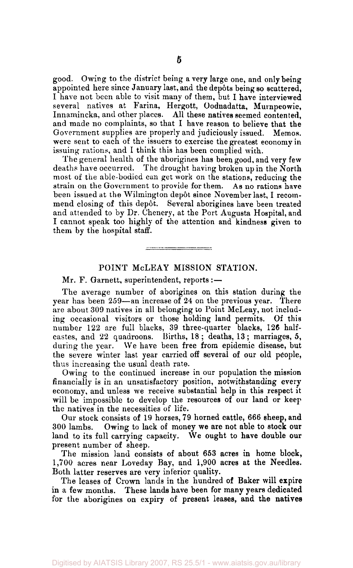good. Owing to the district being a very large one, and only being appointed here since January last, and the depots being so scattered, I have not been able to visit many of them, but I have interviewed several natives at Farina, Hergott, Oodnadatta, Murnpeowie, Innamincka, and other places. All these natives seemed contented, and made no complaints, so that I have reason to believe that the Government supplies are properly and judiciously issued. Memos, were sent to each of the issuers to exercise the greatest economy in issuing rations, and I think this has been complied with.

The general health of the aborigines has been good, and very few deaths have occurred. The drought having broken up in the North most of the able-bodied can get work on the stations, reducing the strain on the Government to provide for them. As no rations have been issued at the Wilmington depot since November last, I recommend closing of this depot. Several aborigines have been treated and attended to by Dr. Chenery, at the Port Augusta Hospital, and I cannot speak too highly of the attention and kindness given to them by the hospital staff.

### POINT McLEAY MISSION STATION.

Mr. F. Garnett, superintendent, reports :—

The average number of aborigines on this station during the year has been 259—an increase of 24 on the previous year. There are about 309 natives in all belonging to Point McLeay, not including occasional visitors or those holding land permits. Of this number 122 are full blacks, 39 three-quarter blacks, 126 halfcastes, and 22 quadroons. Births, 18; deaths, 13; marriages, 5, during the year. We have been free from epidemic disease, but the severe winter last year carried off several of our old people, thus increasing the usual death rate.

Owing to the continued increase in our population the mission financially is in an unsatisfactory position, notwithstanding every economy, and unless we receive substantial help in this respect it will be impossible to develop the resources of our land or keep the natives in the necessities of life.

Our stock consists of 19 horses, 79 horned cattle, 666 sheep, and 300 lambs. Owing to lack of money we are not able to stock our land to its full carrying capacity. We ought to have double our present number of sheep.

The mission land consists of about 653 acres in home block, 1,700 acres near Loveday Bay, and 1,900 acres at the Needles. Both latter reserves are very inferior quality.

The leases of Crown lands in the hundred of Baker will expire in a few months. These lands have been for many years dedicated for the aborigines on expiry of present leases, and the natives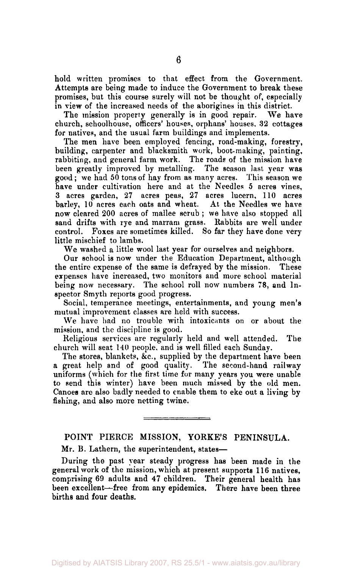hold written promises to that effect from the Government. Attempts are being made to induce the Government to break these promises, but this course surely will not be thought of, especially in view of the increased needs of the aborigines in this district.

The mission property generally is in good repair. We have church, schoolhouse, officers' houses, orphans' houses, 32 cottages for natives, and the usual farm buildings and implements.

The men have been employed fencing, road-making, forestry, building, carpenter and blacksmith work, boot-making, painting, rabbiting, and general farm work. The roads of the mission have been greatly improved by metalling. The season last year was good ; we had 50 tons of hay from as many acres. This season we have under cultivation here and at the Needles 5 acres vines, 3 acres garden, 27 acres peas, 27 acres lucern, 110 acres barley, 10 acres each oats and wheat. At the Needles we have now cleared 200 acres of mallee scrub ; we have also stopped all sand drifts with rye and marram grass. Rabbits are well under control. Foxes are sometimes killed. So far they have done very little mischief to lambs.

We washed a little wool last year for ourselves and neighbors.

Our school is now under the Education Department, although the entire expense of the same is defrayed by the mission. These expenses have increased, two monitors and more school material being now necessary. The school roll now numbers 78, and Inspector Smyth reports good progress.

Social, temperance meetings, entertainments, and young men's mutual improvement classes are held with success.

We have had no trouble with intoxicants on or about the mission, and the discipline is good.

Religious services are regularly held and well attended. The church will seat 140 people, and is well filled each Sunday.

The stores, blankets, &c, supplied by the department have been a great help and of good quality. The second-hand railway uniforms (which for the first time for many years you were unable to send this winter) have been much missed by the old men. Canoes are also badly needed to enable them to eke out a living by fishing, and also more netting twine.

# POINT PIERCE MISSION, YORKE'S PENINSULA.

Mr. B. Lathern, the superintendent, states—

During the past year steady progress has been made in the general work of the mission, which at present supports 116 natives, comprising 69 adults and 47 children. Their general health has been excellent—free from any epidemics. There have been three births and four deaths.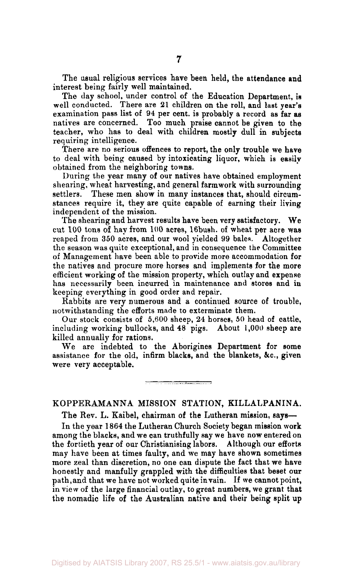The usual religious services have been held, the attendance and interest being fairly well maintained.

The day school, under control of the Education Department, is well conducted. There are 21 children on the roll, and last year's examination pass list of 94 per cent, is probably a record as far as natives are concerned. Too much praise cannot be given to the teacher, who has to deal with children mostly dull in subjects requiring intelligence.

There are no serious offences to report, the only trouble we have to deal with being caused by intoxicating liquor, which is easilv obtained from the neighboring towns.

During the year many of our natives have obtained employment shearing, wheat harvesting, and general farmwork with surrounding These men show in many instances that, should circumstances require it, they are quite capable of earning their living independent of the mission.

The shearing and harvest results have been very satisfactory. We cut 100 tons of hay from 100 acres, 16bush. of wheat per acre was reaped from 350 acres, and our wool yielded 99 bales. Altogether the season was quite exceptional, and in consequence the Committee of Management have been able to provide more accommodation for the natives and procure more horses and implements for the more efficient working of the mission property, which outlay and expense has necessarily been incurred in maintenance and stores and in keeping everything in good order and repair.

Rabbits are very numerous and a continued source of trouble, notwithstanding the efforts made to exterminate them.

Our stock consists of 5,600 sheep, 24 horses, 50 head of cattle, including working bullocks, and 48 pigs. About 1,000 sheep are killed annually for rations.

We are indebted to the Aborigines Department for some assistance for the old, infirm blacks, and the blankets, &c, given were very acceptable.

## KOPPERAMANNA MISSION STATION, KILLALPANINA.

The Rev. L. Kaibel, chairman of the Lutheran mission, says—

In the year 1864 the Lutheran Church Society began mission work among the blacks, and we can truthfully say we have now entered on the fortieth year of our Christianising labors. Although our efforts may have been at times faulty, and we may have shown sometimes more zeal than discretion, no one can dispute the fact that we have honestly and manfully grappled with the difficulties that beset our path, and that we have not worked quite in vain. If we cannot point, in view of the large financial outlay, to great numbers, we grant that the nomadic life of the Australian native and their being split up